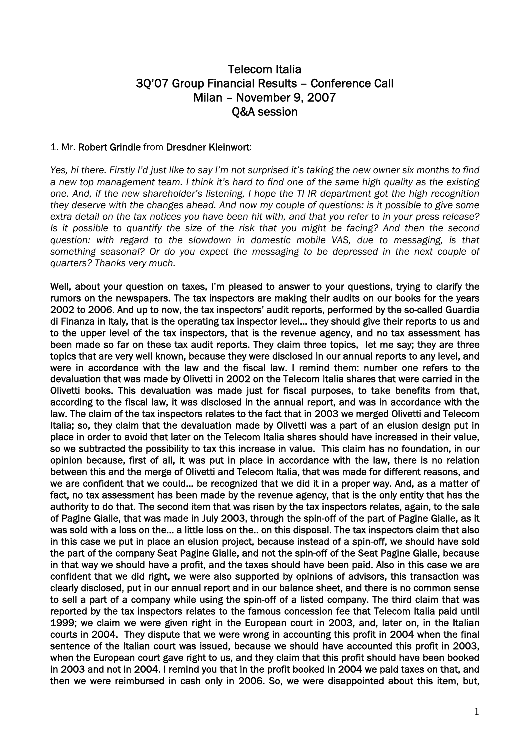# Telecom Italia 3Q'07 Group Financial Results – Conference Call Milan – November 9, 2007 Q&A session

### 1. Mr. Robert Grindle from Dresdner Kleinwort:

*Yes, hi there. Firstly I'd just like to say I'm not surprised it's taking the new owner six months to find a new top management team. I think it's hard to find one of the same high quality as the existing one. And, if the new shareholder's listening, I hope the TI IR department got the high recognition they deserve with the changes ahead. And now my couple of questions: is it possible to give some extra detail on the tax notices you have been hit with, and that you refer to in your press release? Is it possible to quantify the size of the risk that you might be facing? And then the second question: with regard to the slowdown in domestic mobile VAS, due to messaging, is that something seasonal? Or do you expect the messaging to be depressed in the next couple of quarters? Thanks very much.* 

Well, about your question on taxes, I'm pleased to answer to your questions, trying to clarify the rumors on the newspapers. The tax inspectors are making their audits on our books for the years 2002 to 2006. And up to now, the tax inspectors' audit reports, performed by the so-called Guardia di Finanza in Italy, that is the operating tax inspector level… they should give their reports to us and to the upper level of the tax inspectors, that is the revenue agency, and no tax assessment has been made so far on these tax audit reports. They claim three topics, let me say; they are three topics that are very well known, because they were disclosed in our annual reports to any level, and were in accordance with the law and the fiscal law. I remind them: number one refers to the devaluation that was made by Olivetti in 2002 on the Telecom Italia shares that were carried in the Olivetti books. This devaluation was made just for fiscal purposes, to take benefits from that, according to the fiscal law, it was disclosed in the annual report, and was in accordance with the law. The claim of the tax inspectors relates to the fact that in 2003 we merged Olivetti and Telecom Italia; so, they claim that the devaluation made by Olivetti was a part of an elusion design put in place in order to avoid that later on the Telecom Italia shares should have increased in their value, so we subtracted the possibility to tax this increase in value. This claim has no foundation, in our opinion because, first of all, it was put in place in accordance with the law, there is no relation between this and the merge of Olivetti and Telecom Italia, that was made for different reasons, and we are confident that we could… be recognized that we did it in a proper way. And, as a matter of fact, no tax assessment has been made by the revenue agency, that is the only entity that has the authority to do that. The second item that was risen by the tax inspectors relates, again, to the sale of Pagine Gialle, that was made in July 2003, through the spin-off of the part of Pagine Gialle, as it was sold with a loss on the… a little loss on the.. on this disposal. The tax inspectors claim that also in this case we put in place an elusion project, because instead of a spin-off, we should have sold the part of the company Seat Pagine Gialle, and not the spin-off of the Seat Pagine Gialle, because in that way we should have a profit, and the taxes should have been paid. Also in this case we are confident that we did right, we were also supported by opinions of advisors, this transaction was clearly disclosed, put in our annual report and in our balance sheet, and there is no common sense to sell a part of a company while using the spin-off of a listed company. The third claim that was reported by the tax inspectors relates to the famous concession fee that Telecom Italia paid until 1999; we claim we were given right in the European court in 2003, and, later on, in the Italian courts in 2004. They dispute that we were wrong in accounting this profit in 2004 when the final sentence of the Italian court was issued, because we should have accounted this profit in 2003, when the European court gave right to us, and they claim that this profit should have been booked in 2003 and not in 2004. I remind you that in the profit booked in 2004 we paid taxes on that, and then we were reimbursed in cash only in 2006. So, we were disappointed about this item, but,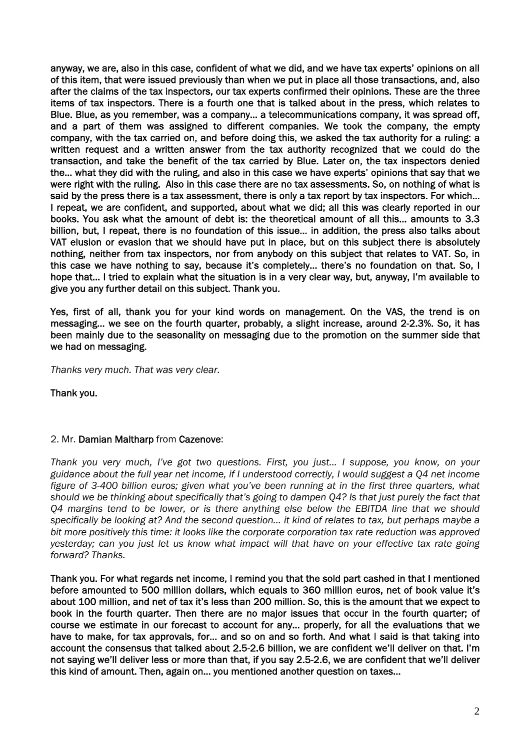anyway, we are, also in this case, confident of what we did, and we have tax experts' opinions on all of this item, that were issued previously than when we put in place all those transactions, and, also after the claims of the tax inspectors, our tax experts confirmed their opinions. These are the three items of tax inspectors. There is a fourth one that is talked about in the press, which relates to Blue. Blue, as you remember, was a company… a telecommunications company, it was spread off, and a part of them was assigned to different companies. We took the company, the empty company, with the tax carried on, and before doing this, we asked the tax authority for a ruling: a written request and a written answer from the tax authority recognized that we could do the transaction, and take the benefit of the tax carried by Blue. Later on, the tax inspectors denied the… what they did with the ruling, and also in this case we have experts' opinions that say that we were right with the ruling. Also in this case there are no tax assessments. So, on nothing of what is said by the press there is a tax assessment, there is only a tax report by tax inspectors. For which… I repeat, we are confident, and supported, about what we did; all this was clearly reported in our books. You ask what the amount of debt is: the theoretical amount of all this… amounts to 3.3 billion, but, I repeat, there is no foundation of this issue… in addition, the press also talks about VAT elusion or evasion that we should have put in place, but on this subject there is absolutely nothing, neither from tax inspectors, nor from anybody on this subject that relates to VAT. So, in this case we have nothing to say, because it's completely… there's no foundation on that. So, I hope that… I tried to explain what the situation is in a very clear way, but, anyway, I'm available to give you any further detail on this subject. Thank you.

Yes, first of all, thank you for your kind words on management. On the VAS, the trend is on messaging… we see on the fourth quarter, probably, a slight increase, around 2-2.3%. So, it has been mainly due to the seasonality on messaging due to the promotion on the summer side that we had on messaging.

*Thanks very much. That was very clear.* 

Thank you.

### 2. Mr. Damian Maltharp from Cazenove:

*Thank you very much, I've got two questions. First, you just… I suppose, you know, on your guidance about the full year net income, if I understood correctly, I would suggest a Q4 net income figure of 3-400 billion euros; given what you've been running at in the first three quarters, what should we be thinking about specifically that's going to dampen Q4? Is that just purely the fact that Q4 margins tend to be lower, or is there anything else below the EBITDA line that we should specifically be looking at? And the second question… it kind of relates to tax, but perhaps maybe a bit more positively this time: it looks like the corporate corporation tax rate reduction was approved yesterday; can you just let us know what impact will that have on your effective tax rate going forward? Thanks.* 

Thank you. For what regards net income, I remind you that the sold part cashed in that I mentioned before amounted to 500 million dollars, which equals to 360 million euros, net of book value it's about 100 million, and net of tax it's less than 200 million. So, this is the amount that we expect to book in the fourth quarter. Then there are no major issues that occur in the fourth quarter; of course we estimate in our forecast to account for any… properly, for all the evaluations that we have to make, for tax approvals, for... and so on and so forth. And what I said is that taking into account the consensus that talked about 2.5-2.6 billion, we are confident we'll deliver on that. I'm not saying we'll deliver less or more than that, if you say 2.5-2.6, we are confident that we'll deliver this kind of amount. Then, again on… you mentioned another question on taxes…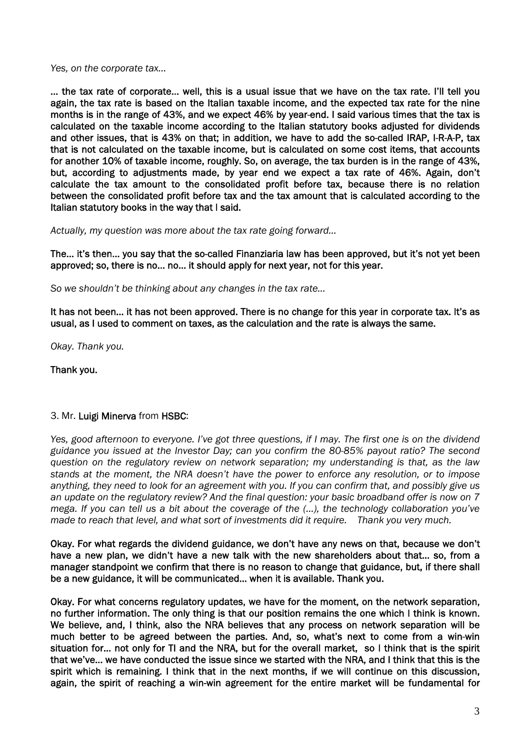*Yes, on the corporate tax…* 

… the tax rate of corporate… well, this is a usual issue that we have on the tax rate. I'll tell you again, the tax rate is based on the Italian taxable income, and the expected tax rate for the nine months is in the range of 43%, and we expect 46% by year-end. I said various times that the tax is calculated on the taxable income according to the Italian statutory books adjusted for dividends and other issues, that is 43% on that; in addition, we have to add the so-called IRAP, I-R-A-P, tax that is not calculated on the taxable income, but is calculated on some cost items, that accounts for another 10% of taxable income, roughly. So, on average, the tax burden is in the range of 43%, but, according to adjustments made, by year end we expect a tax rate of 46%. Again, don't calculate the tax amount to the consolidated profit before tax, because there is no relation between the consolidated profit before tax and the tax amount that is calculated according to the Italian statutory books in the way that I said.

*Actually, my question was more about the tax rate going forward…* 

The… it's then… you say that the so-called Finanziaria law has been approved, but it's not yet been approved; so, there is no… no… it should apply for next year, not for this year.

*So we shouldn't be thinking about any changes in the tax rate…* 

It has not been… it has not been approved. There is no change for this year in corporate tax. It's as usual, as I used to comment on taxes, as the calculation and the rate is always the same.

*Okay. Thank you.* 

Thank you.

### 3. Mr. Luigi Minerva from HSBC:

*Yes, good afternoon to everyone. I've got three questions, if I may. The first one is on the dividend guidance you issued at the Investor Day; can you confirm the 80-85% payout ratio? The second question on the regulatory review on network separation; my understanding is that, as the law stands at the moment, the NRA doesn't have the power to enforce any resolution, or to impose anything, they need to look for an agreement with you. If you can confirm that, and possibly give us an update on the regulatory review? And the final question: your basic broadband offer is now on 7 mega. If you can tell us a bit about the coverage of the (…), the technology collaboration you've made to reach that level, and what sort of investments did it require. Thank you very much.* 

Okay. For what regards the dividend guidance, we don't have any news on that, because we don't have a new plan, we didn't have a new talk with the new shareholders about that... so, from a manager standpoint we confirm that there is no reason to change that guidance, but, if there shall be a new guidance, it will be communicated… when it is available. Thank you.

Okay. For what concerns regulatory updates, we have for the moment, on the network separation, no further information. The only thing is that our position remains the one which I think is known. We believe, and, I think, also the NRA believes that any process on network separation will be much better to be agreed between the parties. And, so, what's next to come from a win-win situation for... not only for TI and the NRA, but for the overall market, so I think that is the spirit that we've… we have conducted the issue since we started with the NRA, and I think that this is the spirit which is remaining. I think that in the next months, if we will continue on this discussion, again, the spirit of reaching a win-win agreement for the entire market will be fundamental for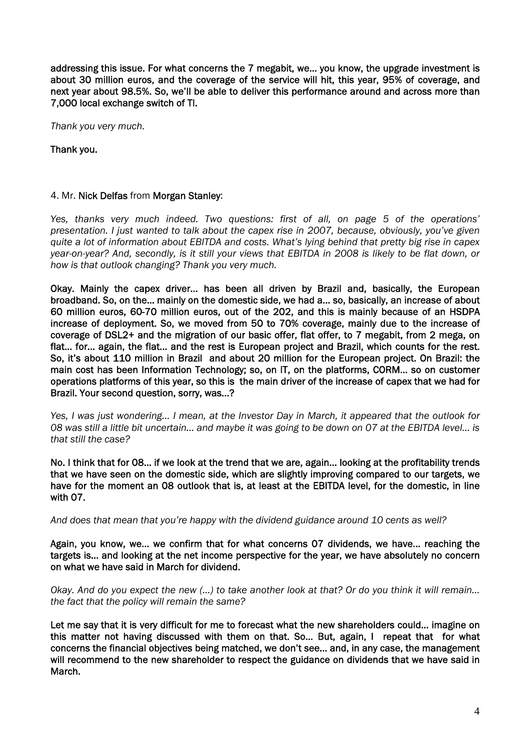addressing this issue. For what concerns the 7 megabit, we… you know, the upgrade investment is about 30 million euros, and the coverage of the service will hit, this year, 95% of coverage, and next year about 98.5%. So, we'll be able to deliver this performance around and across more than 7,000 local exchange switch of TI.

*Thank you very much.* 

Thank you.

### 4. Mr. Nick Delfas from Morgan Stanley:

*Yes, thanks very much indeed. Two questions: first of all, on page 5 of the operations' presentation. I just wanted to talk about the capex rise in 2007, because, obviously, you've given quite a lot of information about EBITDA and costs. What's lying behind that pretty big rise in capex year-on-year? And, secondly, is it still your views that EBITDA in 2008 is likely to be flat down, or how is that outlook changing? Thank you very much.* 

Okay. Mainly the capex driver… has been all driven by Brazil and, basically, the European broadband. So, on the… mainly on the domestic side, we had a… so, basically, an increase of about 60 million euros, 60-70 million euros, out of the 202, and this is mainly because of an HSDPA increase of deployment. So, we moved from 50 to 70% coverage, mainly due to the increase of coverage of DSL2+ and the migration of our basic offer, flat offer, to 7 megabit, from 2 mega, on flat… for… again, the flat… and the rest is European project and Brazil, which counts for the rest. So, it's about 110 million in Brazil and about 20 million for the European project. On Brazil: the main cost has been Information Technology; so, on IT, on the platforms, CORM… so on customer operations platforms of this year, so this is the main driver of the increase of capex that we had for Brazil. Your second question, sorry, was…?

*Yes, I was just wondering… I mean, at the Investor Day in March, it appeared that the outlook for 08 was still a little bit uncertain… and maybe it was going to be down on 07 at the EBITDA level… is that still the case?* 

No. I think that for 08… if we look at the trend that we are, again… looking at the profitability trends that we have seen on the domestic side, which are slightly improving compared to our targets, we have for the moment an 08 outlook that is, at least at the EBITDA level, for the domestic, in line with 07.

*And does that mean that you're happy with the dividend guidance around 10 cents as well?* 

Again, you know, we… we confirm that for what concerns 07 dividends, we have… reaching the targets is… and looking at the net income perspective for the year, we have absolutely no concern on what we have said in March for dividend.

*Okay. And do you expect the new (…) to take another look at that? Or do you think it will remain… the fact that the policy will remain the same?* 

Let me say that it is very difficult for me to forecast what the new shareholders could… imagine on this matter not having discussed with them on that. So… But, again, I repeat that for what concerns the financial objectives being matched, we don't see… and, in any case, the management will recommend to the new shareholder to respect the guidance on dividends that we have said in March.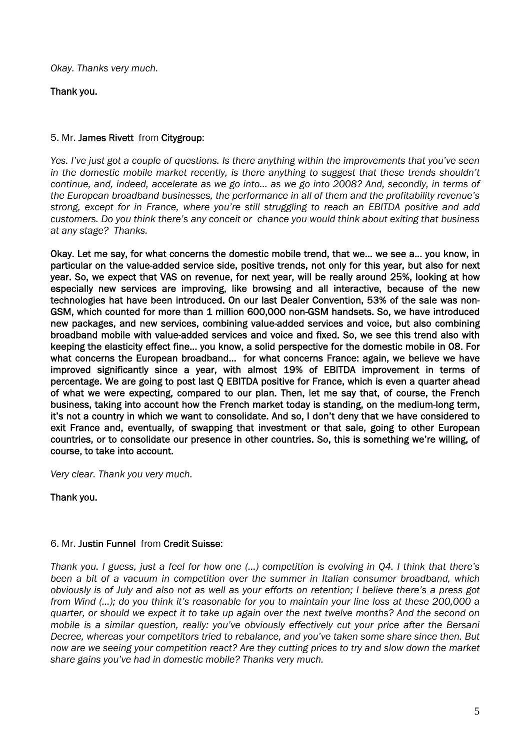*Okay. Thanks very much.* 

# Thank you.

# 5. Mr. James Rivett from Citygroup:

*Yes. I've just got a couple of questions. Is there anything within the improvements that you've seen in the domestic mobile market recently, is there anything to suggest that these trends shouldn't continue, and, indeed, accelerate as we go into… as we go into 2008? And, secondly, in terms of the European broadband businesses, the performance in all of them and the profitability revenue's strong, except for in France, where you're still struggling to reach an EBITDA positive and add customers. Do you think there's any conceit or chance you would think about exiting that business at any stage? Thanks.* 

Okay. Let me say, for what concerns the domestic mobile trend, that we… we see a… you know, in particular on the value-added service side, positive trends, not only for this year, but also for next year. So, we expect that VAS on revenue, for next year, will be really around 25%, looking at how especially new services are improving, like browsing and all interactive, because of the new technologies hat have been introduced. On our last Dealer Convention, 53% of the sale was non-GSM, which counted for more than 1 million 600,000 non-GSM handsets. So, we have introduced new packages, and new services, combining value-added services and voice, but also combining broadband mobile with value-added services and voice and fixed. So, we see this trend also with keeping the elasticity effect fine… you know, a solid perspective for the domestic mobile in 08. For what concerns the European broadband… for what concerns France: again, we believe we have improved significantly since a year, with almost 19% of EBITDA improvement in terms of percentage. We are going to post last Q EBITDA positive for France, which is even a quarter ahead of what we were expecting, compared to our plan. Then, let me say that, of course, the French business, taking into account how the French market today is standing, on the medium-long term, it's not a country in which we want to consolidate. And so, I don't deny that we have considered to exit France and, eventually, of swapping that investment or that sale, going to other European countries, or to consolidate our presence in other countries. So, this is something we're willing, of course, to take into account.

*Very clear. Thank you very much.* 

Thank you.

### 6. Mr. Justin Funnel from Credit Suisse:

*Thank you. I guess, just a feel for how one (…) competition is evolving in Q4. I think that there's been a bit of a vacuum in competition over the summer in Italian consumer broadband, which obviously is of July and also not as well as your efforts on retention; I believe there's a press got from Wind (…); do you think it's reasonable for you to maintain your line loss at these 200,000 a quarter, or should we expect it to take up again over the next twelve months? And the second on mobile is a similar question, really: you've obviously effectively cut your price after the Bersani Decree, whereas your competitors tried to rebalance, and you've taken some share since then. But now are we seeing your competition react? Are they cutting prices to try and slow down the market share gains you've had in domestic mobile? Thanks very much.*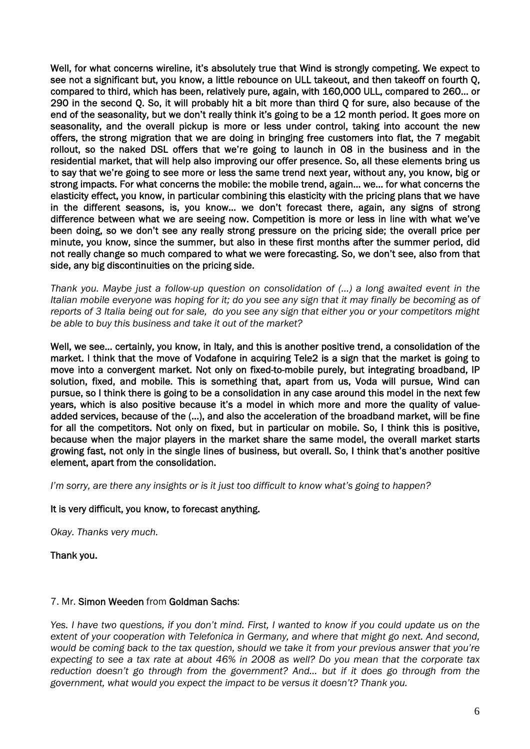Well, for what concerns wireline, it's absolutely true that Wind is strongly competing. We expect to see not a significant but, you know, a little rebounce on ULL takeout, and then takeoff on fourth Q, compared to third, which has been, relatively pure, again, with 160,000 ULL, compared to 260… or 290 in the second Q. So, it will probably hit a bit more than third Q for sure, also because of the end of the seasonality, but we don't really think it's going to be a 12 month period. It goes more on seasonality, and the overall pickup is more or less under control, taking into account the new offers, the strong migration that we are doing in bringing free customers into flat, the 7 megabit rollout, so the naked DSL offers that we're going to launch in 08 in the business and in the residential market, that will help also improving our offer presence. So, all these elements bring us to say that we're going to see more or less the same trend next year, without any, you know, big or strong impacts. For what concerns the mobile: the mobile trend, again… we… for what concerns the elasticity effect, you know, in particular combining this elasticity with the pricing plans that we have in the different seasons, is, you know… we don't forecast there, again, any signs of strong difference between what we are seeing now. Competition is more or less in line with what we've been doing, so we don't see any really strong pressure on the pricing side; the overall price per minute, you know, since the summer, but also in these first months after the summer period, did not really change so much compared to what we were forecasting. So, we don't see, also from that side, any big discontinuities on the pricing side.

*Thank you. Maybe just a follow-up question on consolidation of (…) a long awaited event in the Italian mobile everyone was hoping for it; do you see any sign that it may finally be becoming as of reports of 3 Italia being out for sale, do you see any sign that either you or your competitors might be able to buy this business and take it out of the market?* 

Well, we see… certainly, you know, in Italy, and this is another positive trend, a consolidation of the market. I think that the move of Vodafone in acquiring Tele2 is a sign that the market is going to move into a convergent market. Not only on fixed-to-mobile purely, but integrating broadband, IP solution, fixed, and mobile. This is something that, apart from us, Voda will pursue, Wind can pursue, so I think there is going to be a consolidation in any case around this model in the next few years, which is also positive because it's a model in which more and more the quality of valueadded services, because of the (…), and also the acceleration of the broadband market, will be fine for all the competitors. Not only on fixed, but in particular on mobile. So, I think this is positive, because when the major players in the market share the same model, the overall market starts growing fast, not only in the single lines of business, but overall. So, I think that's another positive element, apart from the consolidation.

*I'm sorry, are there any insights or is it just too difficult to know what's going to happen?* 

### It is very difficult, you know, to forecast anything.

*Okay. Thanks very much.* 

#### Thank you.

### 7. Mr. Simon Weeden from Goldman Sachs:

*Yes. I have two questions, if you don't mind. First, I wanted to know if you could update us on the extent of your cooperation with Telefonica in Germany, and where that might go next. And second, would be coming back to the tax question, should we take it from your previous answer that you're expecting to see a tax rate at about 46% in 2008 as well? Do you mean that the corporate tax reduction doesn't go through from the government? And… but if it does go through from the government, what would you expect the impact to be versus it doesn't? Thank you.*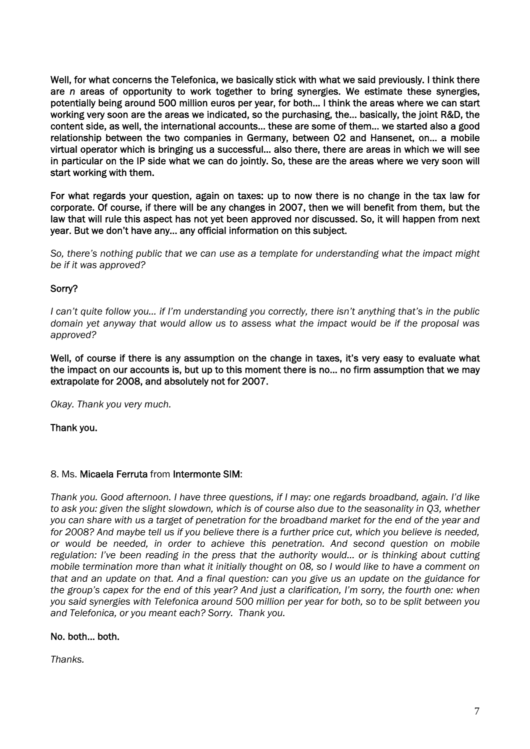Well, for what concerns the Telefonica, we basically stick with what we said previously. I think there are *n* areas of opportunity to work together to bring synergies. We estimate these synergies, potentially being around 500 million euros per year, for both… I think the areas where we can start working very soon are the areas we indicated, so the purchasing, the… basically, the joint R&D, the content side, as well, the international accounts… these are some of them… we started also a good relationship between the two companies in Germany, between O2 and Hansenet, on… a mobile virtual operator which is bringing us a successful… also there, there are areas in which we will see in particular on the IP side what we can do jointly. So, these are the areas where we very soon will start working with them.

For what regards your question, again on taxes: up to now there is no change in the tax law for corporate. Of course, if there will be any changes in 2007, then we will benefit from them, but the law that will rule this aspect has not yet been approved nor discussed. So, it will happen from next year. But we don't have any… any official information on this subject.

*So, there's nothing public that we can use as a template for understanding what the impact might be if it was approved?* 

# Sorry?

*I can't quite follow you… if I'm understanding you correctly, there isn't anything that's in the public domain yet anyway that would allow us to assess what the impact would be if the proposal was approved?* 

Well, of course if there is any assumption on the change in taxes, it's very easy to evaluate what the impact on our accounts is, but up to this moment there is no… no firm assumption that we may extrapolate for 2008, and absolutely not for 2007.

*Okay. Thank you very much.* 

Thank you.

### 8. Ms. Micaela Ferruta from Intermonte SIM:

*Thank you. Good afternoon. I have three questions, if I may: one regards broadband, again. I'd like to ask you: given the slight slowdown, which is of course also due to the seasonality in Q3, whether you can share with us a target of penetration for the broadband market for the end of the year and for 2008? And maybe tell us if you believe there is a further price cut, which you believe is needed, or would be needed, in order to achieve this penetration. And second question on mobile regulation: I've been reading in the press that the authority would… or is thinking about cutting mobile termination more than what it initially thought on 08, so I would like to have a comment on that and an update on that. And a final question: can you give us an update on the guidance for the group's capex for the end of this year? And just a clarification, I'm sorry, the fourth one: when you said synergies with Telefonica around 500 million per year for both, so to be split between you and Telefonica, or you meant each? Sorry. Thank you.* 

### No. both… both.

*Thanks.*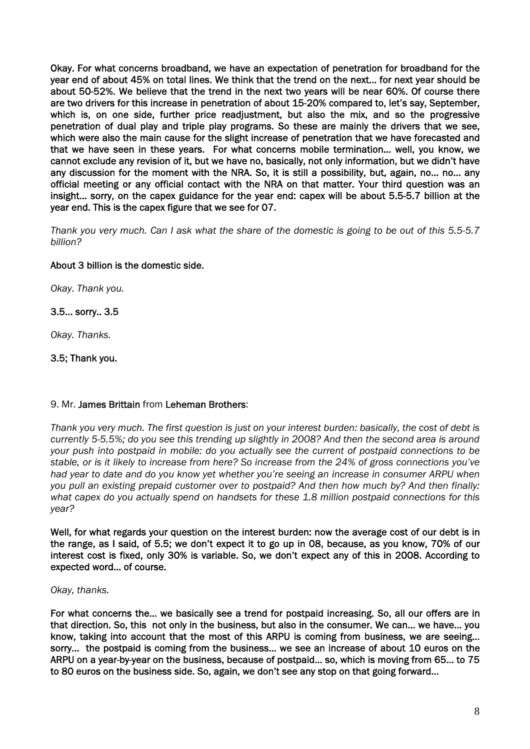Okay. For what concerns broadband, we have an expectation of penetration for broadband for the year end of about 45% on total lines. We think that the trend on the next… for next year should be about 50-52%. We believe that the trend in the next two years will be near 60%. Of course there are two drivers for this increase in penetration of about 15-20% compared to, let's say, September, which is, on one side, further price readjustment, but also the mix, and so the progressive penetration of dual play and triple play programs. So these are mainly the drivers that we see, which were also the main cause for the slight increase of penetration that we have forecasted and that we have seen in these years. For what concerns mobile termination… well, you know, we cannot exclude any revision of it, but we have no, basically, not only information, but we didn't have any discussion for the moment with the NRA. So, it is still a possibility, but, again, no… no… any official meeting or any official contact with the NRA on that matter. Your third question was an insight… sorry, on the capex guidance for the year end: capex will be about 5.5-5.7 billion at the year end. This is the capex figure that we see for 07.

*Thank you very much. Can I ask what the share of the domestic is going to be out of this 5.5-5.7 billion?* 

# About 3 billion is the domestic side.

*Okay. Thank you.* 

### 3.5… sorry.. 3.5

*Okay. Thanks.* 

# 3.5; Thank you.

### 9. Mr. James Brittain from Leheman Brothers:

*Thank you very much. The first question is just on your interest burden: basically, the cost of debt is currently 5-5.5%; do you see this trending up slightly in 2008? And then the second area is around your push into postpaid in mobile: do you actually see the current of postpaid connections to be stable, or is it likely to increase from here? So increase from the 24% of gross connections you've had year to date and do you know yet whether you're seeing an increase in consumer ARPU when you pull an existing prepaid customer over to postpaid? And then how much by? And then finally: what capex do you actually spend on handsets for these 1.8 million postpaid connections for this year?* 

Well, for what regards your question on the interest burden: now the average cost of our debt is in the range, as I said, of 5.5; we don't expect it to go up in 08, because, as you know, 70% of our interest cost is fixed, only 30% is variable. So, we don't expect any of this in 2008. According to expected word… of course.

### *Okay, thanks.*

For what concerns the… we basically see a trend for postpaid increasing. So, all our offers are in that direction. So, this not only in the business, but also in the consumer. We can… we have… you know, taking into account that the most of this ARPU is coming from business, we are seeing… sorry… the postpaid is coming from the business… we see an increase of about 10 euros on the ARPU on a year-by-year on the business, because of postpaid… so, which is moving from 65… to 75 to 80 euros on the business side. So, again, we don't see any stop on that going forward…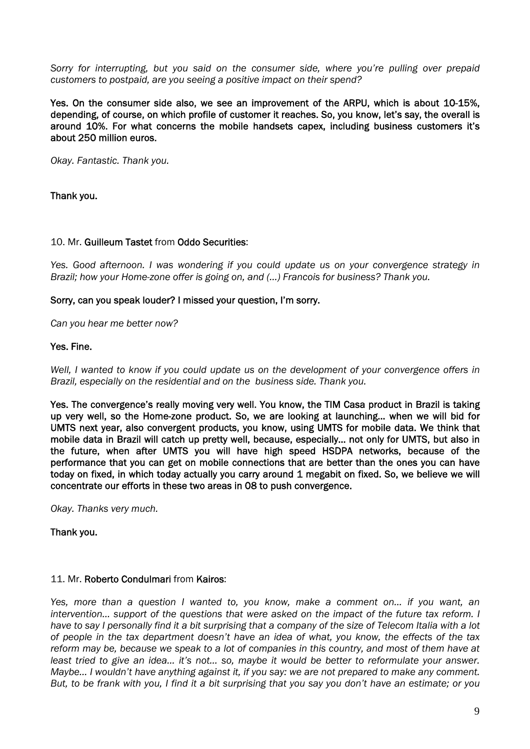*Sorry for interrupting, but you said on the consumer side, where you're pulling over prepaid customers to postpaid, are you seeing a positive impact on their spend?* 

Yes. On the consumer side also, we see an improvement of the ARPU, which is about 10-15%, depending, of course, on which profile of customer it reaches. So, you know, let's say, the overall is around 10%. For what concerns the mobile handsets capex, including business customers it's about 250 million euros.

*Okay. Fantastic. Thank you.* 

Thank you.

#### 10. Mr. Guilleum Tastet from Oddo Securities:

*Yes. Good afternoon. I was wondering if you could update us on your convergence strategy in Brazil; how your Home-zone offer is going on, and (…) Francois for business? Thank you.* 

#### Sorry, can you speak louder? I missed your question, I'm sorry.

*Can you hear me better now?* 

#### Yes. Fine.

*Well, I wanted to know if you could update us on the development of your convergence offers in Brazil, especially on the residential and on the business side. Thank you.* 

Yes. The convergence's really moving very well. You know, the TIM Casa product in Brazil is taking up very well, so the Home-zone product. So, we are looking at launching… when we will bid for UMTS next year, also convergent products, you know, using UMTS for mobile data. We think that mobile data in Brazil will catch up pretty well, because, especially… not only for UMTS, but also in the future, when after UMTS you will have high speed HSDPA networks, because of the performance that you can get on mobile connections that are better than the ones you can have today on fixed, in which today actually you carry around 1 megabit on fixed. So, we believe we will concentrate our efforts in these two areas in 08 to push convergence.

*Okay. Thanks very much.* 

Thank you.

#### 11. Mr. Roberto Condulmari from Kairos:

*Yes, more than a question I wanted to, you know, make a comment on… if you want, an intervention...* support of the questions that were asked on the impact of the future tax reform. I *have to say I personally find it a bit surprising that a company of the size of Telecom Italia with a lot of people in the tax department doesn't have an idea of what, you know, the effects of the tax reform may be, because we speak to a lot of companies in this country, and most of them have at least tried to give an idea… it's not… so, maybe it would be better to reformulate your answer. Maybe… I wouldn't have anything against it, if you say: we are not prepared to make any comment. But, to be frank with you, I find it a bit surprising that you say you don't have an estimate; or you*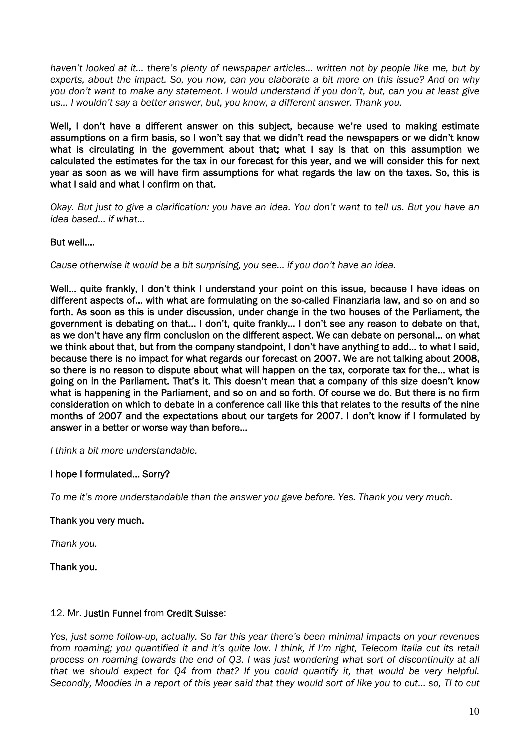*haven't looked at it… there's plenty of newspaper articles… written not by people like me, but by experts, about the impact. So, you now, can you elaborate a bit more on this issue? And on why you don't want to make any statement. I would understand if you don't, but, can you at least give us… I wouldn't say a better answer, but, you know, a different answer. Thank you.* 

Well, I don't have a different answer on this subject, because we're used to making estimate assumptions on a firm basis, so I won't say that we didn't read the newspapers or we didn't know what is circulating in the government about that; what I say is that on this assumption we calculated the estimates for the tax in our forecast for this year, and we will consider this for next year as soon as we will have firm assumptions for what regards the law on the taxes. So, this is what I said and what I confirm on that.

*Okay. But just to give a clarification: you have an idea. You don't want to tell us. But you have an idea based… if what…* 

# But well….

*Cause otherwise it would be a bit surprising, you see… if you don't have an idea.* 

Well... quite frankly, I don't think I understand your point on this issue, because I have ideas on different aspects of… with what are formulating on the so-called Finanziaria law, and so on and so forth. As soon as this is under discussion, under change in the two houses of the Parliament, the government is debating on that… I don't, quite frankly… I don't see any reason to debate on that, as we don't have any firm conclusion on the different aspect. We can debate on personal… on what we think about that, but from the company standpoint, I don't have anything to add… to what I said, because there is no impact for what regards our forecast on 2007. We are not talking about 2008, so there is no reason to dispute about what will happen on the tax, corporate tax for the… what is going on in the Parliament. That's it. This doesn't mean that a company of this size doesn't know what is happening in the Parliament, and so on and so forth. Of course we do. But there is no firm consideration on which to debate in a conference call like this that relates to the results of the nine months of 2007 and the expectations about our targets for 2007. I don't know if I formulated by answer in a better or worse way than before…

*I think a bit more understandable.* 

### I hope I formulated… Sorry?

*To me it's more understandable than the answer you gave before. Yes. Thank you very much.* 

### Thank you very much.

*Thank you.* 

Thank you.

#### 12. Mr. Justin Funnel from Credit Suisse:

*Yes, just some follow-up, actually. So far this year there's been minimal impacts on your revenues from roaming; you quantified it and it's quite low. I think, if I'm right, Telecom Italia cut its retail process on roaming towards the end of Q3. I was just wondering what sort of discontinuity at all that we should expect for Q4 from that? If you could quantify it, that would be very helpful. Secondly, Moodies in a report of this year said that they would sort of like you to cut… so, TI to cut*